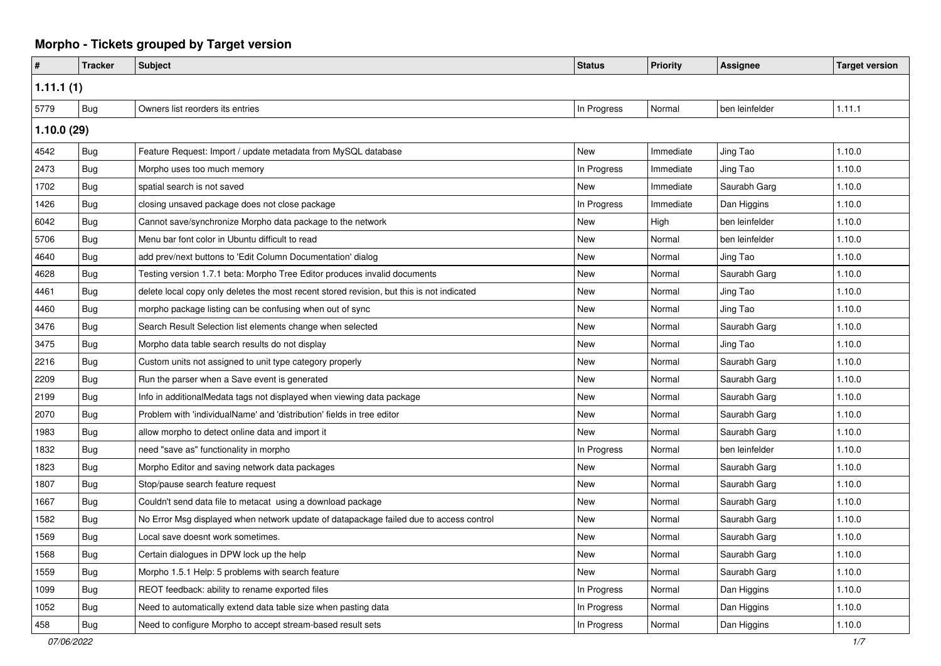## **Morpho - Tickets grouped by Target version**

| #         | <b>Tracker</b> | <b>Subject</b>                                                                            | <b>Status</b> | Priority  | <b>Assignee</b> | <b>Target version</b> |  |
|-----------|----------------|-------------------------------------------------------------------------------------------|---------------|-----------|-----------------|-----------------------|--|
| 1.11.1(1) |                |                                                                                           |               |           |                 |                       |  |
| 5779      | <b>Bug</b>     | Owners list reorders its entries                                                          | In Progress   | Normal    | ben leinfelder  | 1.11.1                |  |
|           | 1.10.0(29)     |                                                                                           |               |           |                 |                       |  |
| 4542      | Bug            | Feature Request: Import / update metadata from MySQL database                             | New           | Immediate | Jing Tao        | 1.10.0                |  |
| 2473      | Bug            | Morpho uses too much memory                                                               | In Progress   | Immediate | Jing Tao        | 1.10.0                |  |
| 1702      | Bug            | spatial search is not saved                                                               | <b>New</b>    | Immediate | Saurabh Garg    | 1.10.0                |  |
| 1426      | Bug            | closing unsaved package does not close package                                            | In Progress   | Immediate | Dan Higgins     | 1.10.0                |  |
| 6042      | Bug            | Cannot save/synchronize Morpho data package to the network                                | New           | High      | ben leinfelder  | 1.10.0                |  |
| 5706      | Bug            | Menu bar font color in Ubuntu difficult to read                                           | <b>New</b>    | Normal    | ben leinfelder  | 1.10.0                |  |
| 4640      | Bug            | add prev/next buttons to 'Edit Column Documentation' dialog                               | New           | Normal    | Jing Tao        | 1.10.0                |  |
| 4628      | Bug            | Testing version 1.7.1 beta: Morpho Tree Editor produces invalid documents                 | New           | Normal    | Saurabh Garg    | 1.10.0                |  |
| 4461      | <b>Bug</b>     | delete local copy only deletes the most recent stored revision, but this is not indicated | New           | Normal    | Jing Tao        | 1.10.0                |  |
| 4460      | Bug            | morpho package listing can be confusing when out of sync                                  | New           | Normal    | Jing Tao        | 1.10.0                |  |
| 3476      | Bug            | Search Result Selection list elements change when selected                                | New           | Normal    | Saurabh Garg    | 1.10.0                |  |
| 3475      | <b>Bug</b>     | Morpho data table search results do not display                                           | New           | Normal    | Jing Tao        | 1.10.0                |  |
| 2216      | Bug            | Custom units not assigned to unit type category properly                                  | <b>New</b>    | Normal    | Saurabh Garg    | 1.10.0                |  |
| 2209      | Bug            | Run the parser when a Save event is generated                                             | New           | Normal    | Saurabh Garg    | 1.10.0                |  |
| 2199      | Bug            | Info in additionalMedata tags not displayed when viewing data package                     | New           | Normal    | Saurabh Garg    | 1.10.0                |  |
| 2070      | Bug            | Problem with 'individualName' and 'distribution' fields in tree editor                    | New           | Normal    | Saurabh Garg    | 1.10.0                |  |
| 1983      | <b>Bug</b>     | allow morpho to detect online data and import it                                          | New           | Normal    | Saurabh Garg    | 1.10.0                |  |
| 1832      | Bug            | need "save as" functionality in morpho                                                    | In Progress   | Normal    | ben leinfelder  | 1.10.0                |  |
| 1823      | Bug            | Morpho Editor and saving network data packages                                            | New           | Normal    | Saurabh Garg    | 1.10.0                |  |
| 1807      | Bug            | Stop/pause search feature request                                                         | New           | Normal    | Saurabh Garg    | 1.10.0                |  |
| 1667      | Bug            | Couldn't send data file to metacat using a download package                               | New           | Normal    | Saurabh Garg    | 1.10.0                |  |
| 1582      | Bug            | No Error Msg displayed when network update of datapackage failed due to access control    | <b>New</b>    | Normal    | Saurabh Garg    | 1.10.0                |  |
| 1569      | <b>Bug</b>     | Local save doesnt work sometimes.                                                         | New           | Normal    | Saurabh Garg    | 1.10.0                |  |
| 1568      | Bug            | Certain dialogues in DPW lock up the help                                                 | <b>New</b>    | Normal    | Saurabh Garg    | 1.10.0                |  |
| 1559      | Bug            | Morpho 1.5.1 Help: 5 problems with search feature                                         | New           | Normal    | Saurabh Garg    | 1.10.0                |  |
| 1099      | Bug            | REOT feedback: ability to rename exported files                                           | In Progress   | Normal    | Dan Higgins     | 1.10.0                |  |
| 1052      | Bug            | Need to automatically extend data table size when pasting data                            | In Progress   | Normal    | Dan Higgins     | 1.10.0                |  |
| 458       | Bug            | Need to configure Morpho to accept stream-based result sets                               | In Progress   | Normal    | Dan Higgins     | 1.10.0                |  |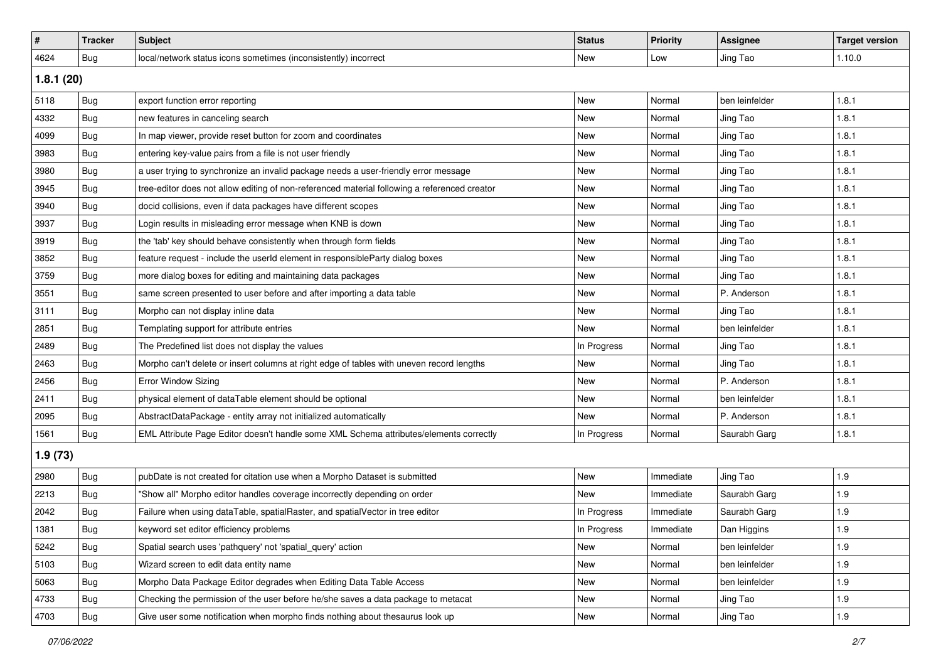| #         | <b>Tracker</b> | <b>Subject</b>                                                                               | <b>Status</b> | <b>Priority</b> | <b>Assignee</b> | <b>Target version</b> |  |
|-----------|----------------|----------------------------------------------------------------------------------------------|---------------|-----------------|-----------------|-----------------------|--|
| 4624      | Bug            | local/network status icons sometimes (inconsistently) incorrect                              | New           | Low             | Jing Tao        | 1.10.0                |  |
| 1.8.1(20) |                |                                                                                              |               |                 |                 |                       |  |
| 5118      | <b>Bug</b>     | export function error reporting                                                              | <b>New</b>    | Normal          | ben leinfelder  | 1.8.1                 |  |
| 4332      | Bug            | new features in canceling search                                                             | <b>New</b>    | Normal          | Jing Tao        | 1.8.1                 |  |
| 4099      | Bug            | In map viewer, provide reset button for zoom and coordinates                                 | <b>New</b>    | Normal          | Jing Tao        | 1.8.1                 |  |
| 3983      | Bug            | entering key-value pairs from a file is not user friendly                                    | <b>New</b>    | Normal          | Jing Tao        | 1.8.1                 |  |
| 3980      | Bug            | a user trying to synchronize an invalid package needs a user-friendly error message          | New           | Normal          | Jing Tao        | 1.8.1                 |  |
| 3945      | Bug            | tree-editor does not allow editing of non-referenced material following a referenced creator | <b>New</b>    | Normal          | Jing Tao        | 1.8.1                 |  |
| 3940      | Bug            | docid collisions, even if data packages have different scopes                                | <b>New</b>    | Normal          | Jing Tao        | 1.8.1                 |  |
| 3937      | Bug            | Login results in misleading error message when KNB is down                                   | <b>New</b>    | Normal          | Jing Tao        | 1.8.1                 |  |
| 3919      | Bug            | the 'tab' key should behave consistently when through form fields                            | <b>New</b>    | Normal          | Jing Tao        | 1.8.1                 |  |
| 3852      | Bug            | feature request - include the userId element in responsibleParty dialog boxes                | <b>New</b>    | Normal          | Jing Tao        | 1.8.1                 |  |
| 3759      | Bug            | more dialog boxes for editing and maintaining data packages                                  | <b>New</b>    | Normal          | Jing Tao        | 1.8.1                 |  |
| 3551      | Bug            | same screen presented to user before and after importing a data table                        | <b>New</b>    | Normal          | P. Anderson     | 1.8.1                 |  |
| 3111      | <b>Bug</b>     | Morpho can not display inline data                                                           | <b>New</b>    | Normal          | Jing Tao        | 1.8.1                 |  |
| 2851      | Bug            | Templating support for attribute entries                                                     | <b>New</b>    | Normal          | ben leinfelder  | 1.8.1                 |  |
| 2489      | Bug            | The Predefined list does not display the values                                              | In Progress   | Normal          | Jing Tao        | 1.8.1                 |  |
| 2463      | Bug            | Morpho can't delete or insert columns at right edge of tables with uneven record lengths     | <b>New</b>    | Normal          | Jing Tao        | 1.8.1                 |  |
| 2456      | Bug            | <b>Error Window Sizing</b>                                                                   | <b>New</b>    | Normal          | P. Anderson     | 1.8.1                 |  |
| 2411      | Bug            | physical element of dataTable element should be optional                                     | New           | Normal          | ben leinfelder  | 1.8.1                 |  |
| 2095      | Bug            | AbstractDataPackage - entity array not initialized automatically                             | New           | Normal          | P. Anderson     | 1.8.1                 |  |
| 1561      | Bug            | EML Attribute Page Editor doesn't handle some XML Schema attributes/elements correctly       | In Progress   | Normal          | Saurabh Garg    | 1.8.1                 |  |
| 1.9(73)   |                |                                                                                              |               |                 |                 |                       |  |
| 2980      | Bug            | pubDate is not created for citation use when a Morpho Dataset is submitted                   | <b>New</b>    | Immediate       | Jing Tao        | 1.9                   |  |
| 2213      | Bug            | 'Show all" Morpho editor handles coverage incorrectly depending on order                     | New           | Immediate       | Saurabh Garg    | 1.9                   |  |
| 2042      | Bug            | Failure when using dataTable, spatialRaster, and spatialVector in tree editor                | In Progress   | Immediate       | Saurabh Garg    | 1.9                   |  |
| 1381      | i Bug          | keyword set editor efficiency problems                                                       | In Progress   | Immediate       | Dan Higgins     | 1.9                   |  |
| 5242      | Bug            | Spatial search uses 'pathquery' not 'spatial_query' action                                   | New           | Normal          | ben leinfelder  | 1.9                   |  |
| 5103      | Bug            | Wizard screen to edit data entity name                                                       | New           | Normal          | ben leinfelder  | 1.9                   |  |
| 5063      | Bug            | Morpho Data Package Editor degrades when Editing Data Table Access                           | New           | Normal          | ben leinfelder  | 1.9                   |  |
| 4733      | Bug            | Checking the permission of the user before he/she saves a data package to metacat            | New           | Normal          | Jing Tao        | 1.9                   |  |
| 4703      | <b>Bug</b>     | Give user some notification when morpho finds nothing about thesaurus look up                | New           | Normal          | Jing Tao        | 1.9                   |  |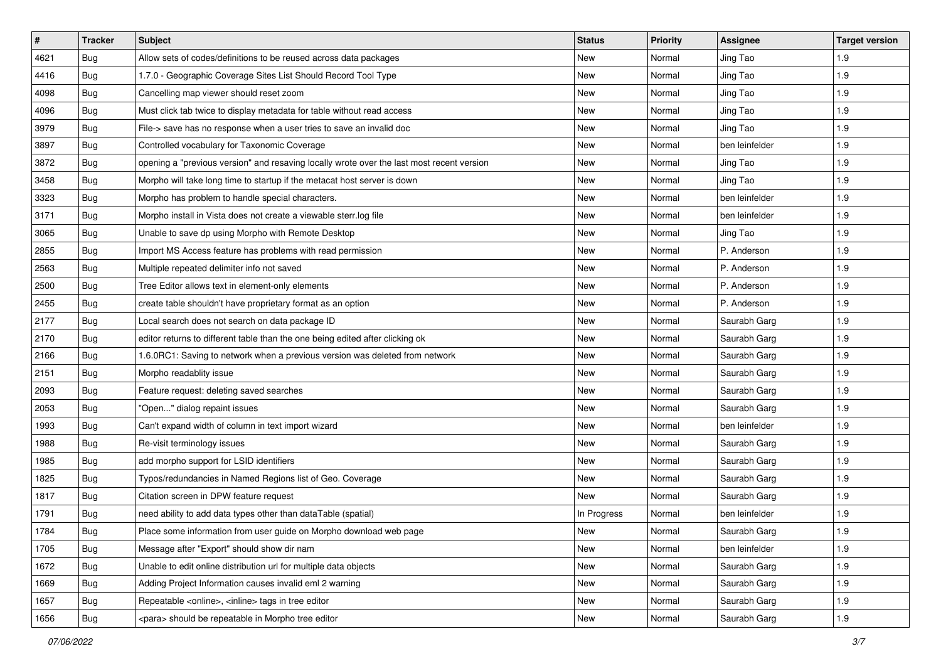| #    | <b>Tracker</b> | <b>Subject</b>                                                                            | <b>Status</b> | <b>Priority</b> | <b>Assignee</b> | <b>Target version</b> |
|------|----------------|-------------------------------------------------------------------------------------------|---------------|-----------------|-----------------|-----------------------|
| 4621 | Bug            | Allow sets of codes/definitions to be reused across data packages                         | New           | Normal          | Jing Tao        | 1.9                   |
| 4416 | Bug            | 1.7.0 - Geographic Coverage Sites List Should Record Tool Type                            | New           | Normal          | Jing Tao        | 1.9                   |
| 4098 | Bug            | Cancelling map viewer should reset zoom                                                   | New           | Normal          | Jing Tao        | 1.9                   |
| 4096 | Bug            | Must click tab twice to display metadata for table without read access                    | <b>New</b>    | Normal          | Jing Tao        | 1.9                   |
| 3979 | Bug            | File-> save has no response when a user tries to save an invalid doc                      | <b>New</b>    | Normal          | Jing Tao        | 1.9                   |
| 3897 | Bug            | Controlled vocabulary for Taxonomic Coverage                                              | New           | Normal          | ben leinfelder  | 1.9                   |
| 3872 | Bug            | opening a "previous version" and resaving locally wrote over the last most recent version | <b>New</b>    | Normal          | Jing Tao        | 1.9                   |
| 3458 | Bug            | Morpho will take long time to startup if the metacat host server is down                  | New           | Normal          | Jing Tao        | 1.9                   |
| 3323 | Bug            | Morpho has problem to handle special characters.                                          | New           | Normal          | ben leinfelder  | 1.9                   |
| 3171 | Bug            | Morpho install in Vista does not create a viewable sterr.log file                         | <b>New</b>    | Normal          | ben leinfelder  | 1.9                   |
| 3065 | Bug            | Unable to save dp using Morpho with Remote Desktop                                        | New           | Normal          | Jing Tao        | 1.9                   |
| 2855 | Bug            | Import MS Access feature has problems with read permission                                | <b>New</b>    | Normal          | P. Anderson     | 1.9                   |
| 2563 | Bug            | Multiple repeated delimiter info not saved                                                | <b>New</b>    | Normal          | P. Anderson     | 1.9                   |
| 2500 | Bug            | Tree Editor allows text in element-only elements                                          | <b>New</b>    | Normal          | P. Anderson     | 1.9                   |
| 2455 | Bug            | create table shouldn't have proprietary format as an option                               | <b>New</b>    | Normal          | P. Anderson     | 1.9                   |
| 2177 | Bug            | Local search does not search on data package ID                                           | New           | Normal          | Saurabh Garg    | 1.9                   |
| 2170 | Bug            | editor returns to different table than the one being edited after clicking ok             | <b>New</b>    | Normal          | Saurabh Garg    | 1.9                   |
| 2166 | Bug            | 1.6.0RC1: Saving to network when a previous version was deleted from network              | <b>New</b>    | Normal          | Saurabh Garg    | 1.9                   |
| 2151 | Bug            | Morpho readablity issue                                                                   | New           | Normal          | Saurabh Garg    | 1.9                   |
| 2093 | Bug            | Feature request: deleting saved searches                                                  | <b>New</b>    | Normal          | Saurabh Garg    | 1.9                   |
| 2053 | Bug            | 'Open" dialog repaint issues                                                              | New           | Normal          | Saurabh Garg    | 1.9                   |
| 1993 | Bug            | Can't expand width of column in text import wizard                                        | New           | Normal          | ben leinfelder  | 1.9                   |
| 1988 | Bug            | Re-visit terminology issues                                                               | <b>New</b>    | Normal          | Saurabh Garg    | 1.9                   |
| 1985 | Bug            | add morpho support for LSID identifiers                                                   | New           | Normal          | Saurabh Garg    | 1.9                   |
| 1825 | Bug            | Typos/redundancies in Named Regions list of Geo. Coverage                                 | New           | Normal          | Saurabh Garg    | 1.9                   |
| 1817 | Bug            | Citation screen in DPW feature request                                                    | <b>New</b>    | Normal          | Saurabh Garg    | 1.9                   |
| 1791 | Bug            | need ability to add data types other than dataTable (spatial)                             | In Progress   | Normal          | ben leinfelder  | 1.9                   |
| 1784 | <b>Bug</b>     | Place some information from user guide on Morpho download web page                        | New           | Normal          | Saurabh Garg    | 1.9                   |
| 1705 | Bug            | Message after "Export" should show dir nam                                                | New           | Normal          | ben leinfelder  | 1.9                   |
| 1672 | Bug            | Unable to edit online distribution url for multiple data objects                          | New           | Normal          | Saurabh Garg    | 1.9                   |
| 1669 | Bug            | Adding Project Information causes invalid eml 2 warning                                   | New           | Normal          | Saurabh Garg    | 1.9                   |
| 1657 | Bug            | Repeatable <online>, <inline> tags in tree editor</inline></online>                       | New           | Normal          | Saurabh Garg    | 1.9                   |
| 1656 | Bug            | <para> should be repeatable in Morpho tree editor</para>                                  | New           | Normal          | Saurabh Garg    | 1.9                   |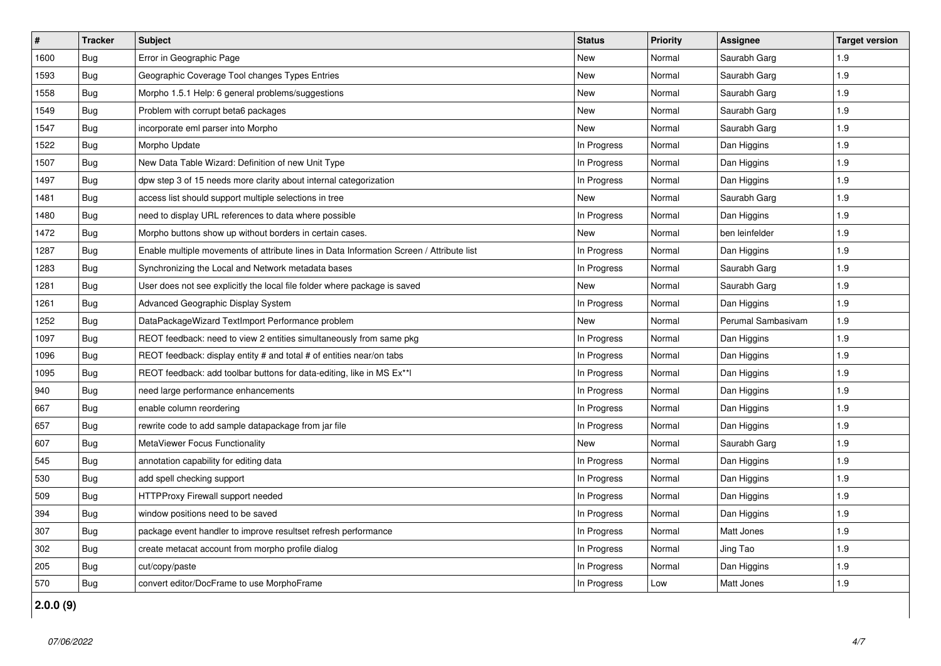| $\vert$ # | <b>Tracker</b> | <b>Subject</b>                                                                           | <b>Status</b> | <b>Priority</b> | Assignee           | <b>Target version</b> |
|-----------|----------------|------------------------------------------------------------------------------------------|---------------|-----------------|--------------------|-----------------------|
| 1600      | Bug            | Error in Geographic Page                                                                 | <b>New</b>    | Normal          | Saurabh Garg       | 1.9                   |
| 1593      | Bug            | Geographic Coverage Tool changes Types Entries                                           | <b>New</b>    | Normal          | Saurabh Garg       | 1.9                   |
| 1558      | Bug            | Morpho 1.5.1 Help: 6 general problems/suggestions                                        | New           | Normal          | Saurabh Garg       | 1.9                   |
| 1549      | Bug            | Problem with corrupt beta6 packages                                                      | <b>New</b>    | Normal          | Saurabh Garg       | 1.9                   |
| 1547      | Bug            | incorporate eml parser into Morpho                                                       | <b>New</b>    | Normal          | Saurabh Garg       | 1.9                   |
| 1522      | Bug            | Morpho Update                                                                            | In Progress   | Normal          | Dan Higgins        | 1.9                   |
| 1507      | Bug            | New Data Table Wizard: Definition of new Unit Type                                       | In Progress   | Normal          | Dan Higgins        | 1.9                   |
| 1497      | Bug            | dpw step 3 of 15 needs more clarity about internal categorization                        | In Progress   | Normal          | Dan Higgins        | 1.9                   |
| 1481      | <b>Bug</b>     | access list should support multiple selections in tree                                   | <b>New</b>    | Normal          | Saurabh Garg       | 1.9                   |
| 1480      | Bug            | need to display URL references to data where possible                                    | In Progress   | Normal          | Dan Higgins        | 1.9                   |
| 1472      | Bug            | Morpho buttons show up without borders in certain cases.                                 | New           | Normal          | ben leinfelder     | 1.9                   |
| 1287      | Bug            | Enable multiple movements of attribute lines in Data Information Screen / Attribute list | In Progress   | Normal          | Dan Higgins        | 1.9                   |
| 1283      | Bug            | Synchronizing the Local and Network metadata bases                                       | In Progress   | Normal          | Saurabh Garg       | 1.9                   |
| 1281      | Bug            | User does not see explicitly the local file folder where package is saved                | New           | Normal          | Saurabh Garg       | 1.9                   |
| 1261      | <b>Bug</b>     | Advanced Geographic Display System                                                       | In Progress   | Normal          | Dan Higgins        | 1.9                   |
| 1252      | Bug            | DataPackageWizard TextImport Performance problem                                         | <b>New</b>    | Normal          | Perumal Sambasivam | 1.9                   |
| 1097      | Bug            | REOT feedback: need to view 2 entities simultaneously from same pkg                      | In Progress   | Normal          | Dan Higgins        | 1.9                   |
| 1096      | Bug            | REOT feedback: display entity # and total # of entities near/on tabs                     | In Progress   | Normal          | Dan Higgins        | 1.9                   |
| 1095      | <b>Bug</b>     | REOT feedback: add toolbar buttons for data-editing, like in MS Ex**I                    | In Progress   | Normal          | Dan Higgins        | 1.9                   |
| 940       | Bug            | need large performance enhancements                                                      | In Progress   | Normal          | Dan Higgins        | 1.9                   |
| 667       | Bug            | enable column reordering                                                                 | In Progress   | Normal          | Dan Higgins        | 1.9                   |
| 657       | <b>Bug</b>     | rewrite code to add sample datapackage from jar file                                     | In Progress   | Normal          | Dan Higgins        | 1.9                   |
| 607       | Bug            | MetaViewer Focus Functionality                                                           | <b>New</b>    | Normal          | Saurabh Garg       | 1.9                   |
| 545       | Bug            | annotation capability for editing data                                                   | In Progress   | Normal          | Dan Higgins        | 1.9                   |
| 530       | Bug            | add spell checking support                                                               | In Progress   | Normal          | Dan Higgins        | 1.9                   |
| 509       | Bug            | HTTPProxy Firewall support needed                                                        | In Progress   | Normal          | Dan Higgins        | 1.9                   |
| 394       | Bug            | window positions need to be saved                                                        | In Progress   | Normal          | Dan Higgins        | 1.9                   |
| 307       | Bug            | package event handler to improve resultset refresh performance                           | In Progress   | Normal          | Matt Jones         | 1.9                   |
| 302       | Bug            | create metacat account from morpho profile dialog                                        | In Progress   | Normal          | Jing Tao           | 1.9                   |
| 205       | Bug            | cut/copy/paste                                                                           | In Progress   | Normal          | Dan Higgins        | 1.9                   |
| 570       | Bug            | convert editor/DocFrame to use MorphoFrame                                               | In Progress   | Low             | Matt Jones         | 1.9                   |

**2.0.0 (9)**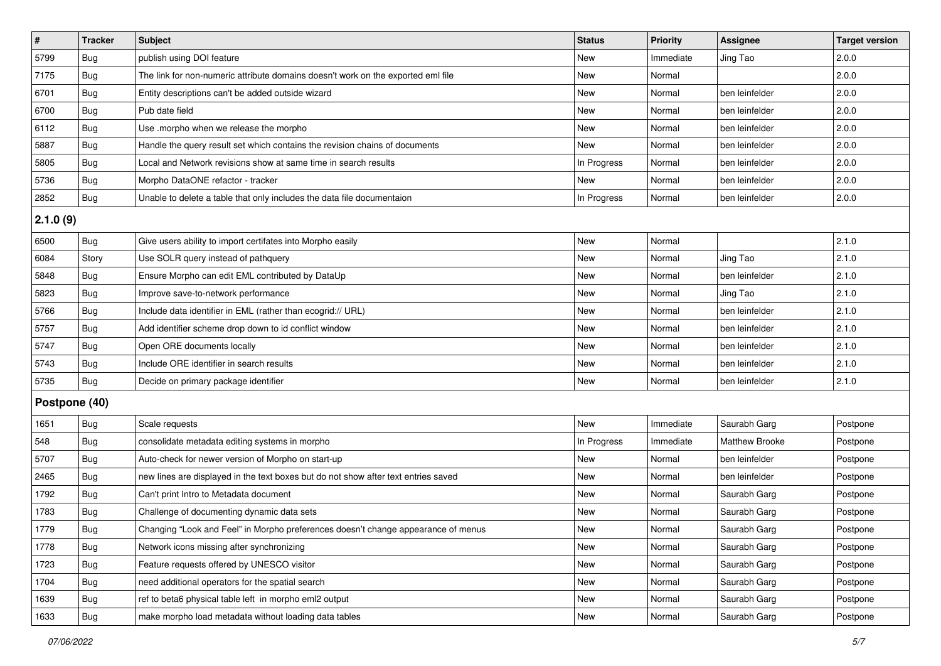| $\vert$ #     | <b>Tracker</b> | <b>Subject</b>                                                                     | <b>Status</b> | <b>Priority</b> | <b>Assignee</b>       | <b>Target version</b> |
|---------------|----------------|------------------------------------------------------------------------------------|---------------|-----------------|-----------------------|-----------------------|
| 5799          | <b>Bug</b>     | publish using DOI feature                                                          | New           | Immediate       | Jing Tao              | 2.0.0                 |
| 7175          | Bug            | The link for non-numeric attribute domains doesn't work on the exported eml file   | New           | Normal          |                       | 2.0.0                 |
| 6701          | Bug            | Entity descriptions can't be added outside wizard                                  | New           | Normal          | ben leinfelder        | 2.0.0                 |
| 6700          | Bug            | Pub date field                                                                     | <b>New</b>    | Normal          | ben leinfelder        | 2.0.0                 |
| 6112          | Bug            | Use .morpho when we release the morpho                                             | New           | Normal          | ben leinfelder        | 2.0.0                 |
| 5887          | Bug            | Handle the query result set which contains the revision chains of documents        | New           | Normal          | ben leinfelder        | 2.0.0                 |
| 5805          | Bug            | Local and Network revisions show at same time in search results                    | In Progress   | Normal          | ben leinfelder        | 2.0.0                 |
| 5736          | Bug            | Morpho DataONE refactor - tracker                                                  | <b>New</b>    | Normal          | ben leinfelder        | 2.0.0                 |
| 2852          | Bug            | Unable to delete a table that only includes the data file documentaion             | In Progress   | Normal          | ben leinfelder        | 2.0.0                 |
| 2.1.0(9)      |                |                                                                                    |               |                 |                       |                       |
| 6500          | Bug            | Give users ability to import certifates into Morpho easily                         | <b>New</b>    | Normal          |                       | 2.1.0                 |
| 6084          | Story          | Use SOLR query instead of pathquery                                                | New           | Normal          | Jing Tao              | 2.1.0                 |
| 5848          | Bug            | Ensure Morpho can edit EML contributed by DataUp                                   | New           | Normal          | ben leinfelder        | 2.1.0                 |
| 5823          | Bug            | Improve save-to-network performance                                                | New           | Normal          | Jing Tao              | 2.1.0                 |
| 5766          | Bug            | Include data identifier in EML (rather than ecogrid:// URL)                        | <b>New</b>    | Normal          | ben leinfelder        | 2.1.0                 |
| 5757          | Bug            | Add identifier scheme drop down to id conflict window                              | New           | Normal          | ben leinfelder        | 2.1.0                 |
| 5747          | Bug            | Open ORE documents locally                                                         | New           | Normal          | ben leinfelder        | 2.1.0                 |
| 5743          | Bug            | Include ORE identifier in search results                                           | New           | Normal          | ben leinfelder        | 2.1.0                 |
| 5735          | Bug            | Decide on primary package identifier                                               | New           | Normal          | ben leinfelder        | 2.1.0                 |
| Postpone (40) |                |                                                                                    |               |                 |                       |                       |
| 1651          | Bug            | Scale requests                                                                     | <b>New</b>    | Immediate       | Saurabh Garg          | Postpone              |
| 548           | Bug            | consolidate metadata editing systems in morpho                                     | In Progress   | Immediate       | <b>Matthew Brooke</b> | Postpone              |
| 5707          | Bug            | Auto-check for newer version of Morpho on start-up                                 | New           | Normal          | ben leinfelder        | Postpone              |
| 2465          | <b>Bug</b>     | new lines are displayed in the text boxes but do not show after text entries saved | New           | Normal          | ben leinfelder        | Postpone              |
| 1792          | <b>Bug</b>     | Can't print Intro to Metadata document                                             | New           | Normal          | Saurabh Garg          | Postpone              |
| 1783          | Bug            | Challenge of documenting dynamic data sets                                         | New           | Normal          | Saurabh Garg          | Postpone              |
| 1779          | <b>Bug</b>     | Changing "Look and Feel" in Morpho preferences doesn't change appearance of menus  | New           | Normal          | Saurabh Garg          | Postpone              |
| 1778          | Bug            | Network icons missing after synchronizing                                          | New           | Normal          | Saurabh Garg          | Postpone              |
| 1723          | Bug            | Feature requests offered by UNESCO visitor                                         | New           | Normal          | Saurabh Garg          | Postpone              |
| 1704          | <b>Bug</b>     | need additional operators for the spatial search                                   | New           | Normal          | Saurabh Garg          | Postpone              |
| 1639          | Bug            | ref to beta6 physical table left in morpho eml2 output                             | New           | Normal          | Saurabh Garg          | Postpone              |
| 1633          | <b>Bug</b>     | make morpho load metadata without loading data tables                              | New           | Normal          | Saurabh Garg          | Postpone              |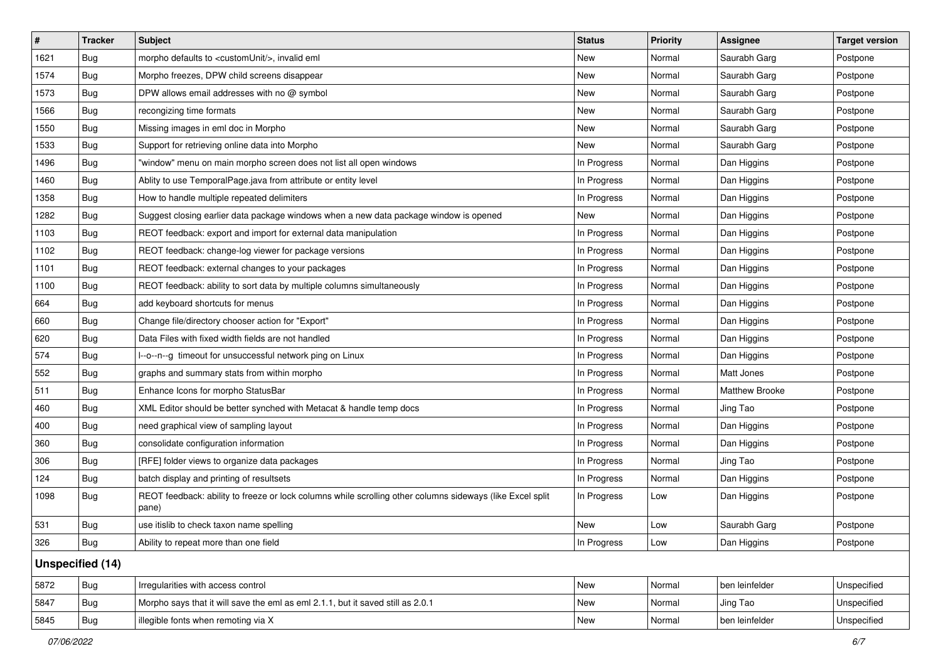| #    | <b>Tracker</b>          | <b>Subject</b>                                                                                                     | <b>Status</b> | <b>Priority</b> | Assignee              | <b>Target version</b> |
|------|-------------------------|--------------------------------------------------------------------------------------------------------------------|---------------|-----------------|-----------------------|-----------------------|
| 1621 | Bug                     | morpho defaults to <customunit></customunit> , invalid eml                                                         | New           | Normal          | Saurabh Garg          | Postpone              |
| 1574 | Bug                     | Morpho freezes, DPW child screens disappear                                                                        | New           | Normal          | Saurabh Garg          | Postpone              |
| 1573 | Bug                     | DPW allows email addresses with no @ symbol                                                                        | New           | Normal          | Saurabh Garg          | Postpone              |
| 1566 | Bug                     | recongizing time formats                                                                                           | New           | Normal          | Saurabh Garg          | Postpone              |
| 1550 | Bug                     | Missing images in eml doc in Morpho                                                                                | New           | Normal          | Saurabh Garg          | Postpone              |
| 1533 | Bug                     | Support for retrieving online data into Morpho                                                                     | New           | Normal          | Saurabh Garg          | Postpone              |
| 1496 | Bug                     | 'window" menu on main morpho screen does not list all open windows                                                 | In Progress   | Normal          | Dan Higgins           | Postpone              |
| 1460 | Bug                     | Ablity to use TemporalPage.java from attribute or entity level                                                     | In Progress   | Normal          | Dan Higgins           | Postpone              |
| 1358 | <b>Bug</b>              | How to handle multiple repeated delimiters                                                                         | In Progress   | Normal          | Dan Higgins           | Postpone              |
| 1282 | Bug                     | Suggest closing earlier data package windows when a new data package window is opened                              | New           | Normal          | Dan Higgins           | Postpone              |
| 1103 | Bug                     | REOT feedback: export and import for external data manipulation                                                    | In Progress   | Normal          | Dan Higgins           | Postpone              |
| 1102 | Bug                     | REOT feedback: change-log viewer for package versions                                                              | In Progress   | Normal          | Dan Higgins           | Postpone              |
| 1101 | Bug                     | REOT feedback: external changes to your packages                                                                   | In Progress   | Normal          | Dan Higgins           | Postpone              |
| 1100 | Bug                     | REOT feedback: ability to sort data by multiple columns simultaneously                                             | In Progress   | Normal          | Dan Higgins           | Postpone              |
| 664  | Bug                     | add keyboard shortcuts for menus                                                                                   | In Progress   | Normal          | Dan Higgins           | Postpone              |
| 660  | Bug                     | Change file/directory chooser action for "Export"                                                                  | In Progress   | Normal          | Dan Higgins           | Postpone              |
| 620  | Bug                     | Data Files with fixed width fields are not handled                                                                 | In Progress   | Normal          | Dan Higgins           | Postpone              |
| 574  | Bug                     | I--o--n--g timeout for unsuccessful network ping on Linux                                                          | In Progress   | Normal          | Dan Higgins           | Postpone              |
| 552  | Bug                     | graphs and summary stats from within morpho                                                                        | In Progress   | Normal          | Matt Jones            | Postpone              |
| 511  | Bug                     | Enhance Icons for morpho StatusBar                                                                                 | In Progress   | Normal          | <b>Matthew Brooke</b> | Postpone              |
| 460  | Bug                     | XML Editor should be better synched with Metacat & handle temp docs                                                | In Progress   | Normal          | Jing Tao              | Postpone              |
| 400  | Bug                     | need graphical view of sampling layout                                                                             | In Progress   | Normal          | Dan Higgins           | Postpone              |
| 360  | Bug                     | consolidate configuration information                                                                              | In Progress   | Normal          | Dan Higgins           | Postpone              |
| 306  | Bug                     | [RFE] folder views to organize data packages                                                                       | In Progress   | Normal          | Jing Tao              | Postpone              |
| 124  | Bug                     | batch display and printing of resultsets                                                                           | In Progress   | Normal          | Dan Higgins           | Postpone              |
| 1098 | Bug                     | REOT feedback: ability to freeze or lock columns while scrolling other columns sideways (like Excel split<br>pane) | In Progress   | Low             | Dan Higgins           | Postpone              |
| 531  | Bug                     | use itislib to check taxon name spelling                                                                           | New           | Low             | Saurabh Garg          | Postpone              |
| 326  | <b>Bug</b>              | Ability to repeat more than one field                                                                              | In Progress   | Low             | Dan Higgins           | Postpone              |
|      | <b>Unspecified (14)</b> |                                                                                                                    |               |                 |                       |                       |
| 5872 | Bug                     | Irregularities with access control                                                                                 | New           | Normal          | ben leinfelder        | Unspecified           |
| 5847 | <b>Bug</b>              | Morpho says that it will save the eml as eml 2.1.1, but it saved still as 2.0.1                                    | New           | Normal          | Jing Tao              | Unspecified           |
| 5845 | Bug                     | illegible fonts when remoting via X                                                                                | New           | Normal          | ben leinfelder        | Unspecified           |